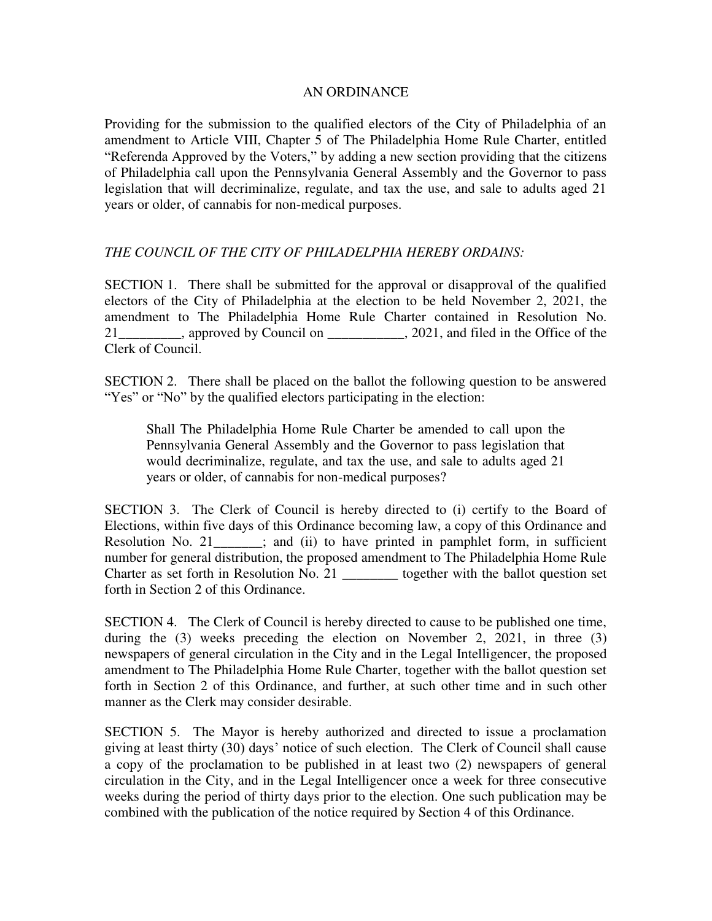## AN ORDINANCE

Providing for the submission to the qualified electors of the City of Philadelphia of an amendment to Article VIII, Chapter 5 of The Philadelphia Home Rule Charter, entitled "Referenda Approved by the Voters," by adding a new section providing that the citizens of Philadelphia call upon the Pennsylvania General Assembly and the Governor to pass legislation that will decriminalize, regulate, and tax the use, and sale to adults aged 21 years or older, of cannabis for non-medical purposes.

## *THE COUNCIL OF THE CITY OF PHILADELPHIA HEREBY ORDAINS:*

SECTION 1. There shall be submitted for the approval or disapproval of the qualified electors of the City of Philadelphia at the election to be held November 2, 2021, the amendment to The Philadelphia Home Rule Charter contained in Resolution No. 21 and tiled in the Office of the same proved by Council on  $\cdot$ , 2021, and filed in the Office of the Clerk of Council.

SECTION 2. There shall be placed on the ballot the following question to be answered "Yes" or "No" by the qualified electors participating in the election:

Shall The Philadelphia Home Rule Charter be amended to call upon the Pennsylvania General Assembly and the Governor to pass legislation that would decriminalize, regulate, and tax the use, and sale to adults aged 21 years or older, of cannabis for non-medical purposes?

SECTION 3. The Clerk of Council is hereby directed to (i) certify to the Board of Elections, within five days of this Ordinance becoming law, a copy of this Ordinance and Resolution No. 21\_\_\_\_\_\_\_; and (ii) to have printed in pamphlet form, in sufficient number for general distribution, the proposed amendment to The Philadelphia Home Rule Charter as set forth in Resolution No. 21 \_\_\_\_\_\_\_\_ together with the ballot question set forth in Section 2 of this Ordinance.

SECTION 4. The Clerk of Council is hereby directed to cause to be published one time, during the (3) weeks preceding the election on November 2, 2021, in three (3) newspapers of general circulation in the City and in the Legal Intelligencer, the proposed amendment to The Philadelphia Home Rule Charter, together with the ballot question set forth in Section 2 of this Ordinance, and further, at such other time and in such other manner as the Clerk may consider desirable.

SECTION 5. The Mayor is hereby authorized and directed to issue a proclamation giving at least thirty (30) days' notice of such election. The Clerk of Council shall cause a copy of the proclamation to be published in at least two (2) newspapers of general circulation in the City, and in the Legal Intelligencer once a week for three consecutive weeks during the period of thirty days prior to the election. One such publication may be combined with the publication of the notice required by Section 4 of this Ordinance.